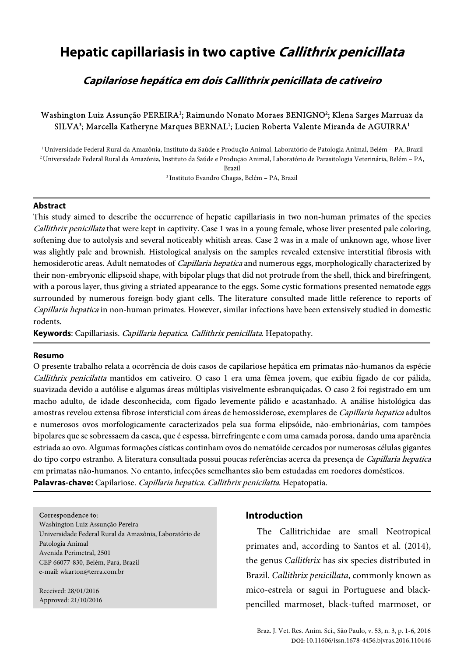# **Hepatic capillariasis in two captive Callithrix penicillata**

**Capilariose hepática em dois Callithrix penicillata de cativeiro** 

# Washington Luiz Assunção PEREIRA<sup>1</sup>; Raimundo Nonato Moraes BENIGNO<sup>2</sup>; Klena Sarges Marruaz da SILVA<sup>3</sup>; Marcella Katheryne Marques BERNAL<sup>1</sup>; Lucien Roberta Valente Miranda de AGUIRRA<sup>1</sup>

<sup>1</sup>Universidade Federal Rural da Amazônia, Instituto da Saúde e Produção Animal, Laboratório de Patologia Animal, Belém – PA, Brazil <sup>2</sup>Universidade Federal Rural da Amazônia, Instituto da Saúde e Produção Animal, Laboratório de Parasitologia Veterinária, Belém – PA,

Brazil

<sup>3</sup>Instituto Evandro Chagas, Belém – PA, Brazil

#### **Abstract**

This study aimed to describe the occurrence of hepatic capillariasis in two non-human primates of the species Callithrix penicillata that were kept in captivity. Case 1 was in a young female, whose liver presented pale coloring, softening due to autolysis and several noticeably whitish areas. Case 2 was in a male of unknown age, whose liver was slightly pale and brownish. Histological analysis on the samples revealed extensive interstitial fibrosis with hemosiderotic areas. Adult nematodes of *Capillaria hepatica* and numerous eggs, morphologically characterized by their non-embryonic ellipsoid shape, with bipolar plugs that did not protrude from the shell, thick and birefringent, with a porous layer, thus giving a striated appearance to the eggs. Some cystic formations presented nematode eggs surrounded by numerous foreign-body giant cells. The literature consulted made little reference to reports of Capillaria hepatica in non-human primates. However, similar infections have been extensively studied in domestic rodents.

**Keywords**: Capillariasis. Capillaria hepatica. Callithrix penicillata. Hepatopathy.

### **Resumo**

O presente trabalho relata a ocorrência de dois casos de capilariose hepática em primatas não-humanos da espécie Callithrix penicilatta mantidos em cativeiro. O caso 1 era uma fêmea jovem, que exibiu fígado de cor pálida, suavizada devido a autólise e algumas áreas múltiplas visivelmente esbranquiçadas. O caso 2 foi registrado em um macho adulto, de idade desconhecida, com fígado levemente pálido e acastanhado. A análise histológica das amostras revelou extensa fibrose intersticial com áreas de hemossiderose, exemplares de Capillaria hepatica adultos e numerosos ovos morfologicamente caracterizados pela sua forma elipsóide, não-embrionárias, com tampões bipolares que se sobressaem da casca, que é espessa, birrefringente e com uma camada porosa, dando uma aparência estriada ao ovo. Algumas formações císticas continham ovos do nematóide cercados por numerosas células gigantes do tipo corpo estranho. A literatura consultada possui poucas referências acerca da presença de Capillaria hepatica em primatas não-humanos. No entanto, infecções semelhantes são bem estudadas em roedores domésticos. **Palavras-chave:** Capilariose. Capillaria hepatica. Callithrix penicilatta. Hepatopatia.

#### Correspondence to:

Washington Luiz Assunção Pereira Universidade Federal Rural da Amazônia, Laboratório de Patologia Animal Avenida Perimetral, 2501 CEP 66077-830, Belém, Pará, Brazil e-mail: wkarton@terra.com.br

Received: 28/01/2016 Approved: 21/10/2016

### **Introduction**

The Callitrichidae are small Neotropical primates and, according to Santos et al. (2014), the genus Callithrix has six species distributed in Brazil. Callithrix penicillata, commonly known as mico-estrela or sagui in Portuguese and blackpencilled marmoset, black-tufted marmoset, or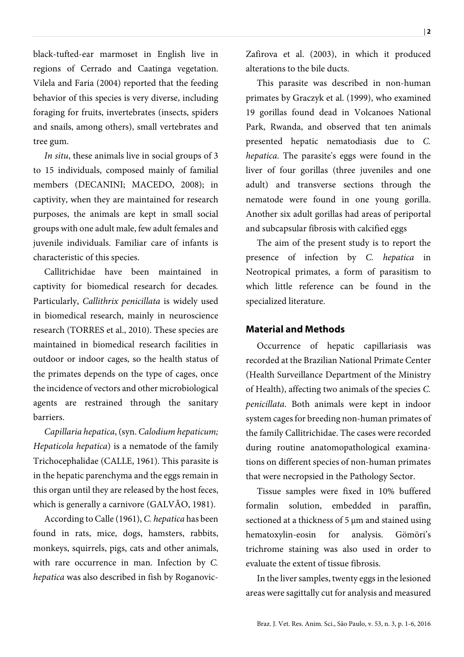black-tufted-ear marmoset in English live in regions of Cerrado and Caatinga vegetation. Vilela and Faria (2004) reported that the feeding behavior of this species is very diverse, including foraging for fruits, invertebrates (insects, spiders and snails, among others), small vertebrates and tree gum.

In situ, these animals live in social groups of 3 to 15 individuals, composed mainly of familial members (DECANINI; MACEDO, 2008); in captivity, when they are maintained for research purposes, the animals are kept in small social groups with one adult male, few adult females and juvenile individuals. Familiar care of infants is characteristic of this species.

Callitrichidae have been maintained in captivity for biomedical research for decades. Particularly, Callithrix penicillata is widely used in biomedical research, mainly in neuroscience research (TORRES et al., 2010). These species are maintained in biomedical research facilities in outdoor or indoor cages, so the health status of the primates depends on the type of cages, once the incidence of vectors and other microbiological agents are restrained through the sanitary barriers.

Capillaria hepatica, (syn. Calodium hepaticum; Hepaticola hepatica) is a nematode of the family Trichocephalidae (CALLE, 1961). This parasite is in the hepatic parenchyma and the eggs remain in this organ until they are released by the host feces, which is generally a carnivore (GALVÃO, 1981).

According to Calle (1961), C. hepatica has been found in rats, mice, dogs, hamsters, rabbits, monkeys, squirrels, pigs, cats and other animals, with rare occurrence in man. Infection by C. hepatica was also described in fish by RoganovicZafirova et al. (2003), in which it produced alterations to the bile ducts.

This parasite was described in non-human primates by Graczyk et al. (1999), who examined 19 gorillas found dead in Volcanoes National Park, Rwanda, and observed that ten animals presented hepatic nematodiasis due to C. hepatica. The parasite's eggs were found in the liver of four gorillas (three juveniles and one adult) and transverse sections through the nematode were found in one young gorilla. Another six adult gorillas had areas of periportal and subcapsular fibrosis with calcified eggs

The aim of the present study is to report the presence of infection by C. hepatica in Neotropical primates, a form of parasitism to which little reference can be found in the specialized literature.

# **Material and Methods**

Occurrence of hepatic capillariasis was recorded at the Brazilian National Primate Center (Health Surveillance Department of the Ministry of Health), affecting two animals of the species C. penicillata. Both animals were kept in indoor system cages for breeding non-human primates of the family Callitrichidae. The cases were recorded during routine anatomopathological examinations on different species of non-human primates that were necropsied in the Pathology Sector.

Tissue samples were fixed in 10% buffered formalin solution, embedded in paraffin, sectioned at a thickness of 5 µm and stained using hematoxylin-eosin for analysis. Gömöri's trichrome staining was also used in order to evaluate the extent of tissue fibrosis.

In the liver samples, twenty eggs in the lesioned areas were sagittally cut for analysis and measured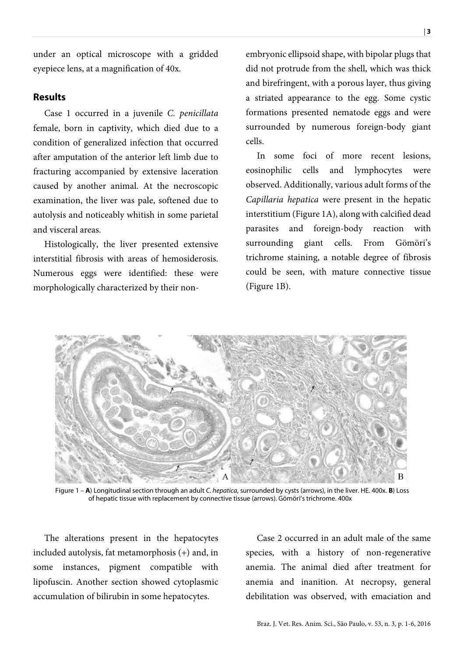under an optical microscope with a gridded eyepiece lens, at a magnification of 40x.

# **Results**

Case 1 occurred in a juvenile C. penicillata female, born in captivity, which died due to a condition of generalized infection that occurred after amputation of the anterior left limb due to fracturing accompanied by extensive laceration caused by another animal. At the necroscopic examination, the liver was pale, softened due to autolysis and noticeably whitish in some parietal and visceral areas.

Histologically, the liver presented extensive interstitial fibrosis with areas of hemosiderosis. Numerous eggs were identified: these were morphologically characterized by their nonembryonic ellipsoid shape, with bipolar plugs that did not protrude from the shell, which was thick and birefringent, with a porous layer, thus giving a striated appearance to the egg. Some cystic formations presented nematode eggs and were surrounded by numerous foreign-body giant cells.

In some foci of more recent lesions, eosinophilic cells and lymphocytes were observed. Additionally, various adult forms of the Capillaria hepatica were present in the hepatic interstitium (Figure 1A), along with calcified dead parasites and foreign-body reaction with surrounding giant cells. From Gömöri's trichrome staining, a notable degree of fibrosis could be seen, with mature connective tissue (Figure 1B).



Figure 1 – **A**) Longitudinal section through an adult C. hepatica, surrounded by cysts (arrows), in the liver. HE. 400x. **B**) Loss of hepatic tissue with replacement by connective tissue (arrows). Gömöri's trichrome. 400x

The alterations present in the hepatocytes included autolysis, fat metamorphosis (+) and, in some instances, pigment compatible with lipofuscin. Another section showed cytoplasmic accumulation of bilirubin in some hepatocytes.

Case 2 occurred in an adult male of the same species, with a history of non-regenerative anemia. The animal died after treatment for anemia and inanition. At necropsy, general debilitation was observed, with emaciation and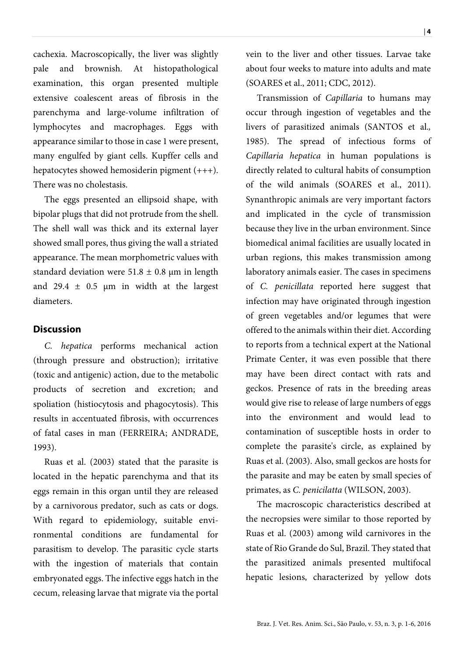cachexia. Macroscopically, the liver was slightly pale and brownish. At histopathological examination, this organ presented multiple extensive coalescent areas of fibrosis in the parenchyma and large-volume infiltration of lymphocytes and macrophages. Eggs with appearance similar to those in case 1 were present, many engulfed by giant cells. Kupffer cells and hepatocytes showed hemosiderin pigment (+++). There was no cholestasis.

The eggs presented an ellipsoid shape, with bipolar plugs that did not protrude from the shell. The shell wall was thick and its external layer showed small pores, thus giving the wall a striated appearance. The mean morphometric values with standard deviation were  $51.8 \pm 0.8$  µm in length and 29.4  $\pm$  0.5 µm in width at the largest diameters.

# **Discussion**

C. hepatica performs mechanical action (through pressure and obstruction); irritative (toxic and antigenic) action, due to the metabolic products of secretion and excretion; and spoliation (histiocytosis and phagocytosis). This results in accentuated fibrosis, with occurrences of fatal cases in man (FERREIRA; ANDRADE, 1993).

Ruas et al. (2003) stated that the parasite is located in the hepatic parenchyma and that its eggs remain in this organ until they are released by a carnivorous predator, such as cats or dogs. With regard to epidemiology, suitable environmental conditions are fundamental for parasitism to develop. The parasitic cycle starts with the ingestion of materials that contain embryonated eggs. The infective eggs hatch in the cecum, releasing larvae that migrate via the portal vein to the liver and other tissues. Larvae take about four weeks to mature into adults and mate (SOARES et al., 2011; CDC, 2012).

Transmission of Capillaria to humans may occur through ingestion of vegetables and the livers of parasitized animals (SANTOS et al., 1985). The spread of infectious forms of Capillaria hepatica in human populations is directly related to cultural habits of consumption of the wild animals (SOARES et al., 2011). Synanthropic animals are very important factors and implicated in the cycle of transmission because they live in the urban environment. Since biomedical animal facilities are usually located in urban regions, this makes transmission among laboratory animals easier. The cases in specimens of C. penicillata reported here suggest that infection may have originated through ingestion of green vegetables and/or legumes that were offered to the animals within their diet. According to reports from a technical expert at the National Primate Center, it was even possible that there may have been direct contact with rats and geckos. Presence of rats in the breeding areas would give rise to release of large numbers of eggs into the environment and would lead to contamination of susceptible hosts in order to complete the parasite's circle, as explained by Ruas et al. (2003). Also, small geckos are hosts for the parasite and may be eaten by small species of primates, as C. penicilatta (WILSON, 2003).

The macroscopic characteristics described at the necropsies were similar to those reported by Ruas et al. (2003) among wild carnivores in the state of Rio Grande do Sul, Brazil. They stated that the parasitized animals presented multifocal hepatic lesions, characterized by yellow dots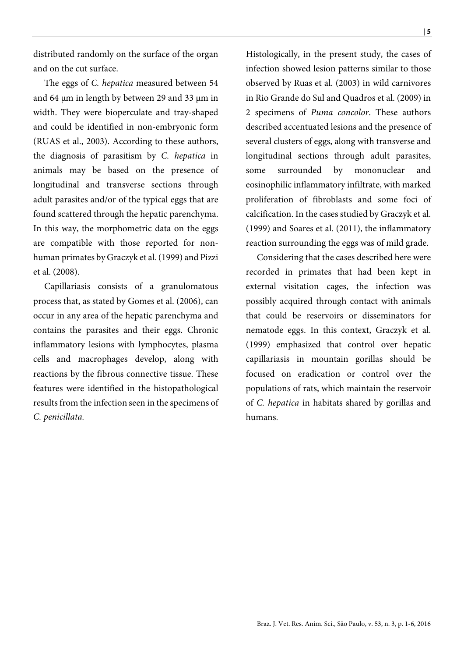distributed randomly on the surface of the organ and on the cut surface.

The eggs of C. hepatica measured between 54 and 64 µm in length by between 29 and 33 µm in width. They were bioperculate and tray-shaped and could be identified in non-embryonic form (RUAS et al., 2003). According to these authors, the diagnosis of parasitism by C. hepatica in animals may be based on the presence of longitudinal and transverse sections through adult parasites and/or of the typical eggs that are found scattered through the hepatic parenchyma. In this way, the morphometric data on the eggs are compatible with those reported for nonhuman primates by Graczyk et al. (1999) and Pizzi et al. (2008).

Capillariasis consists of a granulomatous process that, as stated by Gomes et al. (2006), can occur in any area of the hepatic parenchyma and contains the parasites and their eggs. Chronic inflammatory lesions with lymphocytes, plasma cells and macrophages develop, along with reactions by the fibrous connective tissue. These features were identified in the histopathological results from the infection seen in the specimens of C. penicillata.

Histologically, in the present study, the cases of infection showed lesion patterns similar to those observed by Ruas et al. (2003) in wild carnivores in Rio Grande do Sul and Quadros et al. (2009) in 2 specimens of Puma concolor. These authors described accentuated lesions and the presence of several clusters of eggs, along with transverse and longitudinal sections through adult parasites, some surrounded by mononuclear and eosinophilic inflammatory infiltrate, with marked proliferation of fibroblasts and some foci of calcification. In the cases studied by Graczyk et al. (1999) and Soares et al. (2011), the inflammatory reaction surrounding the eggs was of mild grade.

Considering that the cases described here were recorded in primates that had been kept in external visitation cages, the infection was possibly acquired through contact with animals that could be reservoirs or disseminators for nematode eggs. In this context, Graczyk et al. (1999) emphasized that control over hepatic capillariasis in mountain gorillas should be focused on eradication or control over the populations of rats, which maintain the reservoir of C. hepatica in habitats shared by gorillas and humans.